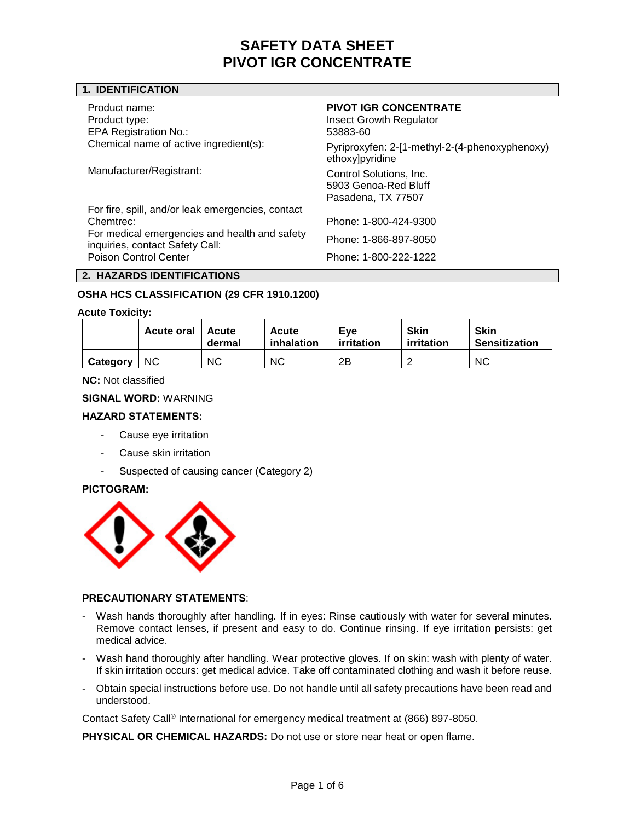# **1. IDENTIFICATION**

Product name: **PIVOT IGR CONCENTRATE** Product type: The Community of the Insect Growth Regulator in the Insect Growth Regulator EPA Registration No.: 53883-60

Chemical name of active ingredient(s): Pyriproxyfen: 2-[1-methyl-2-(4-phenoxyphenoxy) ethoxy]pyridine Manufacturer/Registrant: Control Solutions, Inc. 5903 Genoa-Red Bluff Pasadena, TX 77507

For fire, spill, and/or leak emergencies, contact Chemtrec: Phone: 1-800-424-9300 For medical emergencies and health and safety If the intervention of intervention of the contact Safety Call:<br>inquiries, contact Safety Call: Poison Control Center **Phone: 1-800-222-1222** 

# **2. HAZARDS IDENTIFICATIONS**

# **OSHA HCS CLASSIFICATION (29 CFR 1910.1200)**

#### **Acute Toxicity:**

|          | Acute oral 1 | Acute<br>dermal | Acute<br>inhalation | Eve<br>irritation | <b>Skin</b><br>irritation | <b>Skin</b><br><b>Sensitization</b> |
|----------|--------------|-----------------|---------------------|-------------------|---------------------------|-------------------------------------|
| Category | <b>NC</b>    | <b>NC</b>       | <b>NC</b>           | 2Β                |                           | <b>NC</b>                           |

**NC:** Not classified

#### **SIGNAL WORD:** WARNING

## **HAZARD STATEMENTS:**

- Cause eye irritation
- Cause skin irritation
- Suspected of causing cancer (Category 2)

#### **PICTOGRAM:**



# **PRECAUTIONARY STATEMENTS**:

- Wash hands thoroughly after handling. If in eyes: Rinse cautiously with water for several minutes. Remove contact lenses, if present and easy to do. Continue rinsing. If eye irritation persists: get medical advice.
- Wash hand thoroughly after handling. Wear protective gloves. If on skin: wash with plenty of water. If skin irritation occurs: get medical advice. Take off contaminated clothing and wash it before reuse.
- Obtain special instructions before use. Do not handle until all safety precautions have been read and understood.

Contact Safety Call® International for emergency medical treatment at (866) 897-8050.

**PHYSICAL OR CHEMICAL HAZARDS:** Do not use or store near heat or open flame.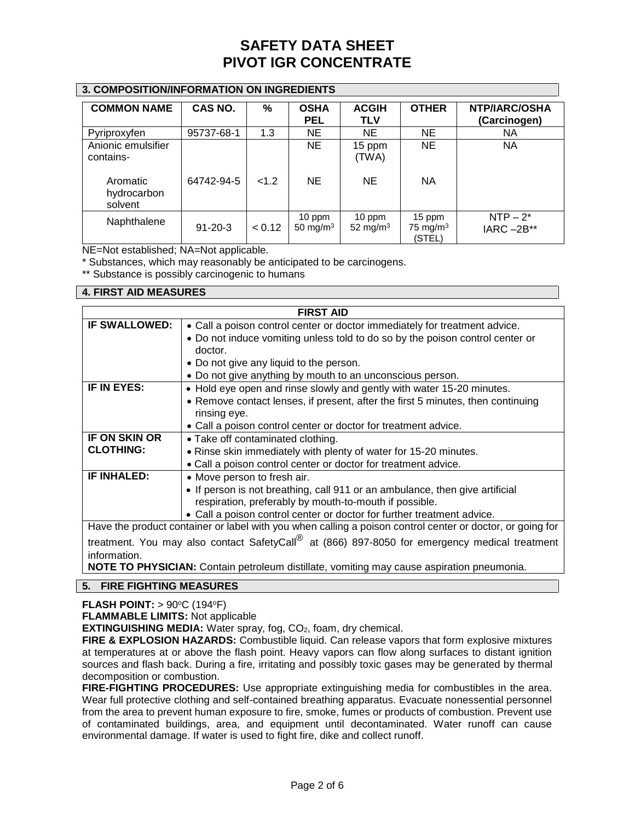# **3. COMPOSITION/INFORMATION ON INGREDIENTS**

| <b>COMMON NAME</b>                 | CAS NO.       | %      | <b>OSHA</b><br><b>PEL</b> | <b>ACGIH</b><br><b>TLV</b> | <b>OTHER</b>                    | <b>NTP/IARC/OSHA</b><br>(Carcinogen) |
|------------------------------------|---------------|--------|---------------------------|----------------------------|---------------------------------|--------------------------------------|
| Pyriproxyfen                       | 95737-68-1    | 1.3    | <b>NE</b>                 | <b>NE</b>                  | <b>NE</b>                       | NA.                                  |
| Anionic emulsifier<br>contains-    |               |        | NE.                       | 15 ppm<br>(TWA)            | <b>NE</b>                       | NА                                   |
| Aromatic<br>hydrocarbon<br>solvent | 64742-94-5    | < 1.2  | <b>NE</b>                 | <b>NE</b>                  | <b>NA</b>                       |                                      |
| Naphthalene                        | $91 - 20 - 3$ | < 0.12 | 10 ppm<br>50 mg/m $3$     | 10 ppm<br>52 mg/m $3$      | 15 ppm<br>75 mg/m $3$<br>(STEL) | $NTP-2^*$<br>$IARC - 2B**$           |

NE=Not established; NA=Not applicable.

\* Substances, which may reasonably be anticipated to be carcinogens.

\*\* Substance is possibly carcinogenic to humans

## **4. FIRST AID MEASURES**

| <b>FIRST AID</b>                                                                                                                                                                                                                                                                                 |                                                                                 |  |  |  |  |
|--------------------------------------------------------------------------------------------------------------------------------------------------------------------------------------------------------------------------------------------------------------------------------------------------|---------------------------------------------------------------------------------|--|--|--|--|
| <b>IF SWALLOWED:</b>                                                                                                                                                                                                                                                                             | • Call a poison control center or doctor immediately for treatment advice.      |  |  |  |  |
|                                                                                                                                                                                                                                                                                                  | • Do not induce vomiting unless told to do so by the poison control center or   |  |  |  |  |
|                                                                                                                                                                                                                                                                                                  | doctor.                                                                         |  |  |  |  |
|                                                                                                                                                                                                                                                                                                  | • Do not give any liquid to the person.                                         |  |  |  |  |
|                                                                                                                                                                                                                                                                                                  | • Do not give anything by mouth to an unconscious person.                       |  |  |  |  |
| IF IN EYES:                                                                                                                                                                                                                                                                                      | • Hold eye open and rinse slowly and gently with water 15-20 minutes.           |  |  |  |  |
|                                                                                                                                                                                                                                                                                                  | • Remove contact lenses, if present, after the first 5 minutes, then continuing |  |  |  |  |
|                                                                                                                                                                                                                                                                                                  | rinsing eye.                                                                    |  |  |  |  |
|                                                                                                                                                                                                                                                                                                  | • Call a poison control center or doctor for treatment advice.                  |  |  |  |  |
| IF ON SKIN OR                                                                                                                                                                                                                                                                                    | • Take off contaminated clothing.                                               |  |  |  |  |
| <b>CLOTHING:</b>                                                                                                                                                                                                                                                                                 | • Rinse skin immediately with plenty of water for 15-20 minutes.                |  |  |  |  |
|                                                                                                                                                                                                                                                                                                  | • Call a poison control center or doctor for treatment advice.                  |  |  |  |  |
| <b>IF INHALED:</b>                                                                                                                                                                                                                                                                               | • Move person to fresh air.                                                     |  |  |  |  |
|                                                                                                                                                                                                                                                                                                  | • If person is not breathing, call 911 or an ambulance, then give artificial    |  |  |  |  |
|                                                                                                                                                                                                                                                                                                  | respiration, preferably by mouth-to-mouth if possible.                          |  |  |  |  |
|                                                                                                                                                                                                                                                                                                  | • Call a poison control center or doctor for further treatment advice.          |  |  |  |  |
| Have the product container or label with you when calling a poison control center or doctor, or going for                                                                                                                                                                                        |                                                                                 |  |  |  |  |
| $\mathbb{R}^n$ , $\mathbb{R}^n$ , $\mathbb{R}^n$ , $\mathbb{R}^n$ , $\mathbb{R}^n$ , $\mathbb{R}^n$ , $\mathbb{R}^n$ , $\mathbb{R}^n$ , $\mathbb{R}^n$ , $\mathbb{R}^n$ , $\mathbb{R}^n$ , $\mathbb{R}^n$ , $\mathbb{R}^n$ , $\mathbb{R}^n$ , $\mathbb{R}^n$ , $\mathbb{R}^n$ , $\mathbb{R}^n$ , |                                                                                 |  |  |  |  |

treatment. You may also contact SafetyCall<sup>®</sup> at (866) 897-8050 for emergency medical treatment information.

**NOTE TO PHYSICIAN:** Contain petroleum distillate, vomiting may cause aspiration pneumonia.

# **5. FIRE FIGHTING MEASURES**

**FLASH POINT:** > 90°C (194°F)

**FLAMMABLE LIMITS:** Not applicable

**EXTINGUISHING MEDIA:** Water spray, fog, CO<sub>2</sub>, foam, dry chemical.

**FIRE & EXPLOSION HAZARDS:** Combustible liquid. Can release vapors that form explosive mixtures at temperatures at or above the flash point. Heavy vapors can flow along surfaces to distant ignition sources and flash back. During a fire, irritating and possibly toxic gases may be generated by thermal decomposition or combustion.

**FIRE-FIGHTING PROCEDURES:** Use appropriate extinguishing media for combustibles in the area. Wear full protective clothing and self-contained breathing apparatus. Evacuate nonessential personnel from the area to prevent human exposure to fire, smoke, fumes or products of combustion. Prevent use of contaminated buildings, area, and equipment until decontaminated. Water runoff can cause environmental damage. If water is used to fight fire, dike and collect runoff.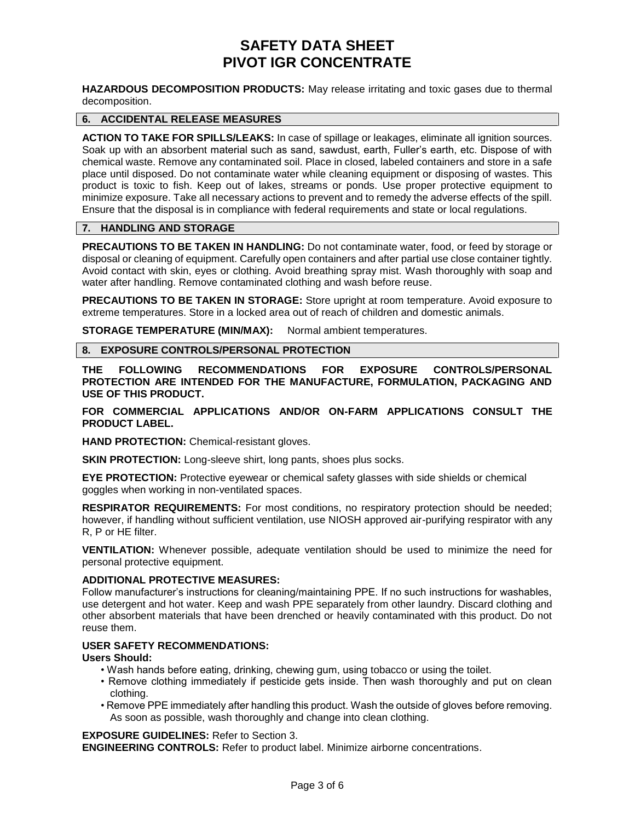**HAZARDOUS DECOMPOSITION PRODUCTS:** May release irritating and toxic gases due to thermal decomposition.

## **6. ACCIDENTAL RELEASE MEASURES**

**ACTION TO TAKE FOR SPILLS/LEAKS:** In case of spillage or leakages, eliminate all ignition sources. Soak up with an absorbent material such as sand, sawdust, earth, Fuller's earth, etc. Dispose of with chemical waste. Remove any contaminated soil. Place in closed, labeled containers and store in a safe place until disposed. Do not contaminate water while cleaning equipment or disposing of wastes. This product is toxic to fish. Keep out of lakes, streams or ponds. Use proper protective equipment to minimize exposure. Take all necessary actions to prevent and to remedy the adverse effects of the spill. Ensure that the disposal is in compliance with federal requirements and state or local regulations.

# **7. HANDLING AND STORAGE**

**PRECAUTIONS TO BE TAKEN IN HANDLING:** Do not contaminate water, food, or feed by storage or disposal or cleaning of equipment. Carefully open containers and after partial use close container tightly. Avoid contact with skin, eyes or clothing. Avoid breathing spray mist. Wash thoroughly with soap and water after handling. Remove contaminated clothing and wash before reuse.

**PRECAUTIONS TO BE TAKEN IN STORAGE:** Store upright at room temperature. Avoid exposure to extreme temperatures. Store in a locked area out of reach of children and domestic animals.

**STORAGE TEMPERATURE (MIN/MAX):** Normal ambient temperatures.

#### **8. EXPOSURE CONTROLS/PERSONAL PROTECTION**

**THE FOLLOWING RECOMMENDATIONS FOR EXPOSURE CONTROLS/PERSONAL PROTECTION ARE INTENDED FOR THE MANUFACTURE, FORMULATION, PACKAGING AND USE OF THIS PRODUCT.**

**FOR COMMERCIAL APPLICATIONS AND/OR ON-FARM APPLICATIONS CONSULT THE PRODUCT LABEL.**

**HAND PROTECTION:** Chemical-resistant gloves.

**SKIN PROTECTION:** Long-sleeve shirt, long pants, shoes plus socks.

**EYE PROTECTION:** Protective eyewear or chemical safety glasses with side shields or chemical goggles when working in non-ventilated spaces.

**RESPIRATOR REQUIREMENTS:** For most conditions, no respiratory protection should be needed; however, if handling without sufficient ventilation, use NIOSH approved air-purifying respirator with any R, P or HE filter.

**VENTILATION:** Whenever possible, adequate ventilation should be used to minimize the need for personal protective equipment.

#### **ADDITIONAL PROTECTIVE MEASURES:**

Follow manufacturer's instructions for cleaning/maintaining PPE. If no such instructions for washables, use detergent and hot water. Keep and wash PPE separately from other laundry. Discard clothing and other absorbent materials that have been drenched or heavily contaminated with this product. Do not reuse them.

## **USER SAFETY RECOMMENDATIONS:**

#### **Users Should:**

- Wash hands before eating, drinking, chewing gum, using tobacco or using the toilet.
- Remove clothing immediately if pesticide gets inside. Then wash thoroughly and put on clean clothing.
- Remove PPE immediately after handling this product. Wash the outside of gloves before removing. As soon as possible, wash thoroughly and change into clean clothing.

**EXPOSURE GUIDELINES:** Refer to Section 3.

**ENGINEERING CONTROLS:** Refer to product label. Minimize airborne concentrations.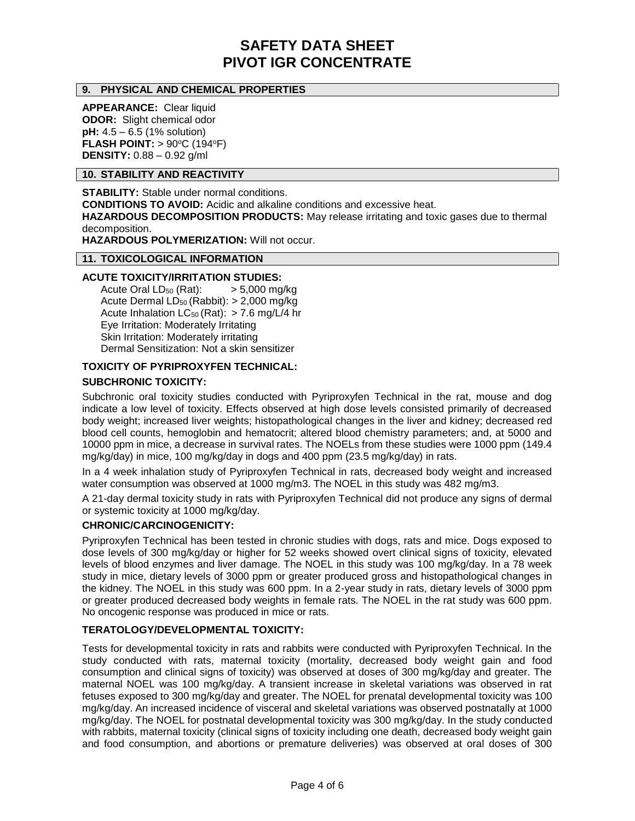## **9. PHYSICAL AND CHEMICAL PROPERTIES**

**APPEARANCE:** Clear liquid **ODOR:** Slight chemical odor **pH:** 4.5 – 6.5 (1% solution) **FLASH POINT: > 90°C (194°F) DENSITY:** 0.88 – 0.92 g/ml

#### **10. STABILITY AND REACTIVITY**

**STABILITY:** Stable under normal conditions. **CONDITIONS TO AVOID:** Acidic and alkaline conditions and excessive heat. **HAZARDOUS DECOMPOSITION PRODUCTS:** May release irritating and toxic gases due to thermal decomposition. **HAZARDOUS POLYMERIZATION:** Will not occur.

# **11. TOXICOLOGICAL INFORMATION**

## **ACUTE TOXICITY/IRRITATION STUDIES:**

Acute Oral  $LD_{50}$  (Rat):  $> 5,000$  mg/kg Acute Dermal LD<sup>50</sup> (Rabbit): > 2,000 mg/kg Acute Inhalation  $LC_{50}$  (Rat): > 7.6 mg/L/4 hr Eye Irritation: Moderately Irritating Skin Irritation: Moderately irritating Dermal Sensitization: Not a skin sensitizer

#### **TOXICITY OF PYRIPROXYFEN TECHNICAL:**

## **SUBCHRONIC TOXICITY:**

Subchronic oral toxicity studies conducted with Pyriproxyfen Technical in the rat, mouse and dog indicate a low level of toxicity. Effects observed at high dose levels consisted primarily of decreased body weight; increased liver weights; histopathological changes in the liver and kidney; decreased red blood cell counts, hemoglobin and hematocrit; altered blood chemistry parameters; and, at 5000 and 10000 ppm in mice, a decrease in survival rates. The NOELs from these studies were 1000 ppm (149.4 mg/kg/day) in mice, 100 mg/kg/day in dogs and 400 ppm (23.5 mg/kg/day) in rats.

In a 4 week inhalation study of Pyriproxyfen Technical in rats, decreased body weight and increased water consumption was observed at 1000 mg/m3. The NOEL in this study was 482 mg/m3.

A 21-day dermal toxicity study in rats with Pyriproxyfen Technical did not produce any signs of dermal or systemic toxicity at 1000 mg/kg/day.

#### **CHRONIC/CARCINOGENICITY:**

Pyriproxyfen Technical has been tested in chronic studies with dogs, rats and mice. Dogs exposed to dose levels of 300 mg/kg/day or higher for 52 weeks showed overt clinical signs of toxicity, elevated levels of blood enzymes and liver damage. The NOEL in this study was 100 mg/kg/day. In a 78 week study in mice, dietary levels of 3000 ppm or greater produced gross and histopathological changes in the kidney. The NOEL in this study was 600 ppm. In a 2-year study in rats, dietary levels of 3000 ppm or greater produced decreased body weights in female rats. The NOEL in the rat study was 600 ppm. No oncogenic response was produced in mice or rats.

#### **TERATOLOGY/DEVELOPMENTAL TOXICITY:**

Tests for developmental toxicity in rats and rabbits were conducted with Pyriproxyfen Technical. In the study conducted with rats, maternal toxicity (mortality, decreased body weight gain and food consumption and clinical signs of toxicity) was observed at doses of 300 mg/kg/day and greater. The maternal NOEL was 100 mg/kg/day. A transient increase in skeletal variations was observed in rat fetuses exposed to 300 mg/kg/day and greater. The NOEL for prenatal developmental toxicity was 100 mg/kg/day. An increased incidence of visceral and skeletal variations was observed postnatally at 1000 mg/kg/day. The NOEL for postnatal developmental toxicity was 300 mg/kg/day. In the study conducted with rabbits, maternal toxicity (clinical signs of toxicity including one death, decreased body weight gain and food consumption, and abortions or premature deliveries) was observed at oral doses of 300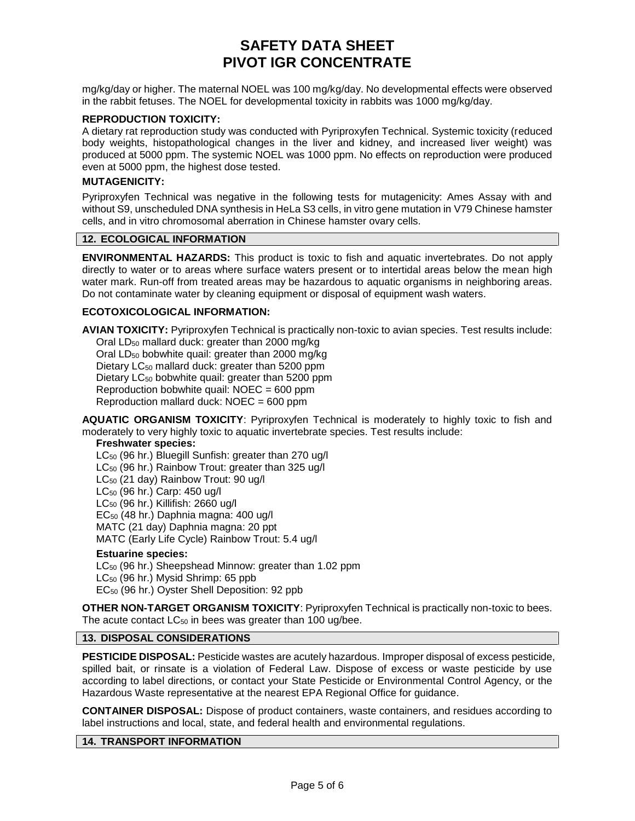mg/kg/day or higher. The maternal NOEL was 100 mg/kg/day. No developmental effects were observed in the rabbit fetuses. The NOEL for developmental toxicity in rabbits was 1000 mg/kg/day.

## **REPRODUCTION TOXICITY:**

A dietary rat reproduction study was conducted with Pyriproxyfen Technical. Systemic toxicity (reduced body weights, histopathological changes in the liver and kidney, and increased liver weight) was produced at 5000 ppm. The systemic NOEL was 1000 ppm. No effects on reproduction were produced even at 5000 ppm, the highest dose tested.

#### **MUTAGENICITY:**

Pyriproxyfen Technical was negative in the following tests for mutagenicity: Ames Assay with and without S9, unscheduled DNA synthesis in HeLa S3 cells, in vitro gene mutation in V79 Chinese hamster cells, and in vitro chromosomal aberration in Chinese hamster ovary cells.

#### **12. ECOLOGICAL INFORMATION**

**ENVIRONMENTAL HAZARDS:** This product is toxic to fish and aquatic invertebrates. Do not apply directly to water or to areas where surface waters present or to intertidal areas below the mean high water mark. Run-off from treated areas may be hazardous to aquatic organisms in neighboring areas. Do not contaminate water by cleaning equipment or disposal of equipment wash waters.

#### **ECOTOXICOLOGICAL INFORMATION:**

**AVIAN TOXICITY:** Pyriproxyfen Technical is practically non-toxic to avian species. Test results include: Oral LD<sup>50</sup> mallard duck: greater than 2000 mg/kg

Oral LD<sup>50</sup> bobwhite quail: greater than 2000 mg/kg Dietary LC<sub>50</sub> mallard duck: greater than 5200 ppm Dietary  $LC_{50}$  bobwhite quail: greater than 5200 ppm Reproduction bobwhite quail:  $NOEC = 600$  ppm

Reproduction mallard duck: NOEC = 600 ppm

**AQUATIC ORGANISM TOXICITY**: Pyriproxyfen Technical is moderately to highly toxic to fish and moderately to very highly toxic to aquatic invertebrate species. Test results include:

#### **Freshwater species:**

LC<sub>50</sub> (96 hr.) Bluegill Sunfish: greater than 270 ug/l LC<sub>50</sub> (96 hr.) Rainbow Trout: greater than 325 ug/l LC<sup>50</sup> (21 day) Rainbow Trout: 90 ug/l LC<sup>50</sup> (96 hr.) Carp: 450 ug/l LC<sup>50</sup> (96 hr.) Killifish: 2660 ug/l EC<sup>50</sup> (48 hr.) Daphnia magna: 400 ug/l MATC (21 day) Daphnia magna: 20 ppt MATC (Early Life Cycle) Rainbow Trout: 5.4 ug/l

# **Estuarine species:**

LC<sub>50</sub> (96 hr.) Sheepshead Minnow: greater than 1.02 ppm LC<sup>50</sup> (96 hr.) Mysid Shrimp: 65 ppb EC<sup>50</sup> (96 hr.) Oyster Shell Deposition: 92 ppb

**OTHER NON-TARGET ORGANISM TOXICITY**: Pyriproxyfen Technical is practically non-toxic to bees. The acute contact  $LC_{50}$  in bees was greater than 100 ug/bee.

# **13. DISPOSAL CONSIDERATIONS**

**PESTICIDE DISPOSAL:** Pesticide wastes are acutely hazardous. Improper disposal of excess pesticide, spilled bait, or rinsate is a violation of Federal Law. Dispose of excess or waste pesticide by use according to label directions, or contact your State Pesticide or Environmental Control Agency, or the Hazardous Waste representative at the nearest EPA Regional Office for guidance.

**CONTAINER DISPOSAL:** Dispose of product containers, waste containers, and residues according to label instructions and local, state, and federal health and environmental regulations.

#### **14. TRANSPORT INFORMATION**